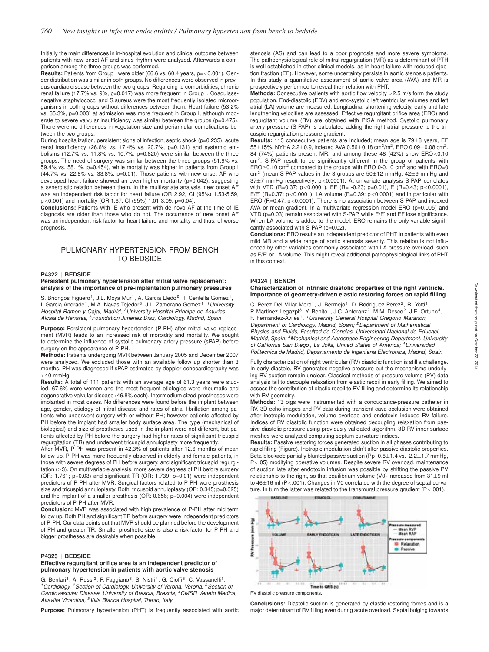Initially the main differences in in-hospital evolution and clinical outcome between patients with new onset AF and sinus rhythm were analyzed. Afterwards a comparison among the three groups was performed.

**Results:** Patients from Group I were older (66.6 vs. 60.4 years, p=<0.001). Gender distribution was similar in both groups. No differences were observed in previous cardiac disease between the two groups. Regarding to comorbidities, chronic renal failure (17.7% vs. 9%, p=0.017) was more frequent in Group I. Coagulasenegative staphylococci and S.aureus were the most frequently isolated microorganisms in both groups without differences between them. Heart failure (53.2% vs. 35.3%, p=0.003) at admission was more frequent in Group I. although moderate to severe valvular insufficiency was similar between the groups (p=0.475). There were no differences in vegetation size and periannular complications between the two groups.

During hospitalization, persistent signs of infection, septic shock (p=0.235), acute renal insufficiency (26.6% vs. 17.4% vs. 20.7%, p=0.131) and systemic embolisms (12.7% vs. 11.8% vs. 10.7%, p=0.820) were similar between the three groups. The need of surgery was similar between the three groups (51.9% vs. 59.4% vs. 58.1%, p=0.454), while mortality was higher in patients from Group I (44.7% vs. 22.8% vs. 33.8%, p=0.01). Those patients with new onset AF who developed heart failure showed an even higher mortality (p=0.042), suggesting a synergistic relation between them. In the multivariate analysis, new onset AF was an independent risk factor for heart failure (OR 2.92, CI (95%) 1.53-5.59, p<0.001) and mortality (OR 1.67, CI (95%) 1.01-3.09, p=0.04).

**Conclusions:** Patients with IE who present with de novo AF at the time of IE diagnosis are older than those who do not. The occurrence of new onset AF was an independent risk factor for heart failure and mortality and thus, of worse prognosis.

# PULMONARY HYPERTENSION FROM BENCH TO BEDSIDE

## **P4322 | BEDSIDE**

### **Persistent pulmonary hypertension after mitral valve replacement: analysis of the importance of pre-implantation pulmonary pressures**

S. Briongos Figuero<sup>1</sup>, J.L. Moya Mur<sup>1</sup>, A. Garcia Lledo<sup>2</sup>, T. Centella Gomez<sup>1</sup>, I. Garcia Andrade1, M.A. Navas Tejedor3, J.L. Zamorano Gomez1. *1University Hospital Ramon y Cajal, Madrid, 2University Hospital Príncipe de Asturias, Alcala de Henares, 3Foundation Jimenez Diaz, Cardiology, Madrid, Spain*

**Purpose:** Persistent pulmonary hypertension (P-PH) after mitral valve replacement (MVR) leads to an increased risk of morbidity and mortality. We sought to determine the influence of systolic pulmonary artery pressure (sPAP) before surgery on the appearance of P-PH.

**Methods:** Patients undergoing MVR between January 2005 and December 2007 were analyzed. We excluded those with an available follow up shorter than 3 months. PH was diagnosed if sPAP estimated by doppler-echocardiography was  $>40$  mmHg.

**Results:** A total of 111 patients with an average age of 61.3 years were studied. 67.6% were women and the most frequent etiologies were rheumatic and degenerative valvular disease (46.8% each). Intermedium sized-prostheses were implanted in most cases. No differences were found before the implant between age, gender, etiology of mitral disease and rates of atrial fibrillation among patients who underwent surgery with or without PH; however patients affected by PH before the implant had smaller body surface area. The type (mechanical of biological) and size of prostheses used in the implant were not different, but patients affected by PH before the surgery had higher rates of significant tricuspid regurgitation (TR) and underwent tricuspid annuloplasty more frequently.

After MVR, P-PH was present in 42,3% of patients after 12.6 months of mean follow up. P-PH was more frequently observed in elderly and female patients, in those with severe degrees of PH before surgery, and significant tricuspid regurgitation (≥3). On multivariable analysis, more severe degrees of PH before surgery (OR:  $1.761$ ; p=0.03) and significant TR (OR: 1.739; p=0.01) were independent predictors of P-PH after MVR. Surgical factors related to P-PH were prosthesis size and tricuspid annuloplasty. Both, tricuspid annuloplasty (OR: 0.345; p=0.025) and the implant of a smaller prosthesis (OR: 0.656; p=0.004) were independent predictors of P-PH after MVR.

**Conclusion:** MVR was associated with high prevalence of P-PH after mid term follow up. Both PH and significant TR before surgery were independent predictors of P-PH. Our data points out that MVR should be planned before the development of PH and greater TR. Smaller prosthetic size is also a risk factor for P-PH and bigger prostheses are desirable when possible.

#### **P4323 | BEDSIDE**

## **Effective regurgitant orifice area is an independent predictor of pulmonary hypertension in patients with aortic valve stenosis**

G. Benfari<sup>1</sup>, A. Rossi<sup>2</sup>, P. Faggiano<sup>3</sup>, S. Nistri<sup>4</sup>, G. Cioffi<sup>5</sup>, C. Vassanelli<sup>1</sup>. *1Cardiology, 2Section of Cardiology, University of Verona, Verona, 3Section of Cardiovascular Disease, University of Brescia, Brescia, 4CMSR Veneto Medica, Altavilla Vicentina, 5Villa Bianca Hospital, Trento, Italy*

**Purpose:** Pulmonary hypertension (PHT) is frequently associated with aortic

stenosis (AS) and can lead to a poor prognosis and more severe symptoms. The pathophysiological role of mitral regurgitation (MR) as a determinant of PTH is well established in other clinical models, as in heart failure with reduced ejection fraction (EF). However, some uncertainty persists in aortic stenosis patients. In this study a quantitative assessment of aortic valve area (AVA) and MR is prospectively performed to reveal their relation with PHT.

**Methods:** Consecutive patients with aortic flow velocity >2.5 m/s form the study population. End-diastolic (EDV) and end-systolic left ventricular volumes and left atrial (LA) volume are measured. Longitudinal shortening velocity, early and late lengthening velocities are assessed. Effective regurgitant orifice area (ERO) and regurgitant volume (RV) are obtained with PISA method. Systolic pulmonary artery pressure (S-PAP) is calculated adding the right atrial pressure to the tricuspid regurgitation pressure gradient.

**Results:** 113 consecutive patients are included; mean age is 79±8 years, EF 55±15%, NYHA 2.2±0.9, indexed AVA 0.56±0.18 cm2/m2, ERO 0.09±0.08 cm2. 84 (74%) patients present MR, and among these 48 (42%) show ERO<0.10 cm<sup>2</sup>. S-PAP result to be significantly different in the group of patients with  $ERO \ge 0.10$  cm<sup>2</sup> compared to the groups with ERO 0-0.10 cm<sup>2</sup> and with ERO=0 cm<sup>2</sup> (mean S-PAP values in the 3 groups are  $50\pm12$  mmHg,  $42\pm9$  mmHg and 37±7 mmHg respectively; p<0.0001). At univariate analysis S-PAP correlates with VTD (R=0.37; p<0.0001), EF (R= -0.23; p=0.01), E (R=0.43; p<0.0001), E/E' (R=0.37; p<0.0001), LA volume (R=0.39; p<0.0001) and in particular with ERO (R=0.47; p<0.0001). There is no association between S-PAP and indexed AVA or mean gradient. In a multivariate regression model ERO (p=0.005) and VTD (p=0.03) remain associated with S-PAP, while E/E' and EF lose significance. When LA volume is added to the model, ERO remains the only variable significantly associated with S-PAP (p=0.02).

**Conclusions:** ERO results an independent predictor of PHT in patients with even mild MR and a wide range of aortic stenosis severity. This relation is not influenced by other variables commonly associated with LA pressure overload, such as E/E' or LA volume. This might reveal additional pathophysiological links of PHT in this context.

# **P4324 | BENCH**

#### **Characterization of intrinsic diastolic properties of the right ventricle. Importance of geometry-driven elastic restoring forces on rapid filling**

C. Perez Del Villar Moro<sup>1</sup>, J. Bermejo<sup>1</sup>, D. Rodriguez-Perez<sup>2</sup>, R. Yotti<sup>1</sup>, P. Martinez-Legazpi<sup>3</sup>, Y. Benito<sup>1</sup>, J.C. Antoranz<sup>2</sup>, M.M. Desco<sup>2</sup>, J.E. Ortuno<sup>4</sup>, F. Fernandez-Aviles1. *1University General Hospital Gregorio Maranon, Department of Cardiology, Madrid, Spain; 2Department of Mathematical Physics and Fluids, Facultad de Ciencias, Universidad Nacional de Educaci, Madrid, Spain; 3Mechanical and Aerospace Engineering Department. University of California San Diego., La Jolla, United States of America; 4Universidad Politecnica de Madrid, Departamento de Ingenieria Electronica, Madrid, Spain*

Fully characterization of right ventricular (RV) diastolic function is still a challenge. In early diastole, RV generates negative pressure but the mechanisms underlying RV suction remain unclear. Classical methods of pressure-volume (PV) data analysis fail to decouple relaxation from elastic recoil in early filling. We aimed to assess the contribution of elastic recoil to RV filling and determine its relationship with RV geometry.

**Methods:** 13 pigs were instrumented with a conductance-pressure catheter in RV. 3D echo images and PV data during transient cava occlusion were obtained after inotropic modulation, volume overload and endotoxin induced RV failure. Indices of RV diastolic function were obtained decoupling relaxation from passive diastolic pressure using previously validated algorithm. 3D RV inner surface meshes were analyzed computing septum curvature indices.

**Results:** Passive restoring forces generated suction in all phases contributing to rapid filling (Figure). Inotropic modulation didn't alter passive diastolic properties. Beta-blockade partially blunted passive suction (Pp -0.8 $\pm$ 1.4 vs. -2.2 $\pm$ 1.7 mmHg, P<.05) modifying operative volumes. Despite severe RV overload, maintenance of suction late after endotoxin infusion was possible by shifting the passive PV relationship to the right, so that equilibrium volume (V0) increased from  $31\pm9$  ml to  $46\pm16$  ml (P < 001). Changes in V0 correlated with the degree of septal curvature. In turn the latter was related to the transmural pressure gradient (P<.001).



RV diastolic pressure components.

**Conclusions:** Diastolic suction is generated by elastic restoring forces and is a major determinant of RV filling even during acute overload. Septal bulging towards